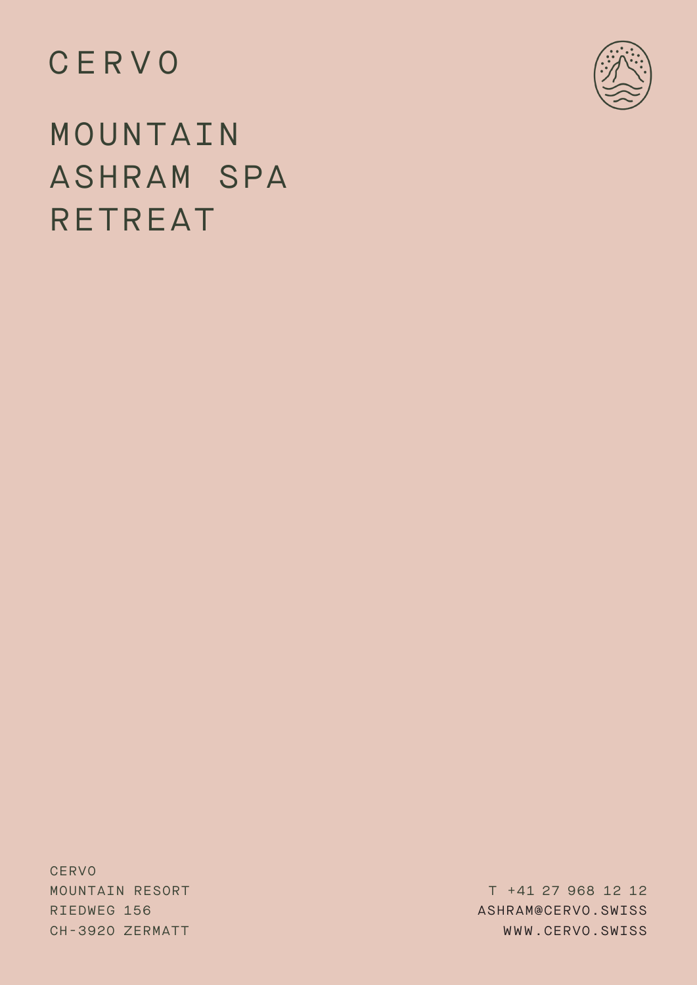# CERVO



MOUNTAIN ASHRAM SPA RETREAT

**CERVO** MOUNTAIN RESORT RIEDWEG 156 CH-392O ZERMATT

T +41 27 968 12 12 ASHRAM@CERVO.SWISS WWW.CERVO.SWISS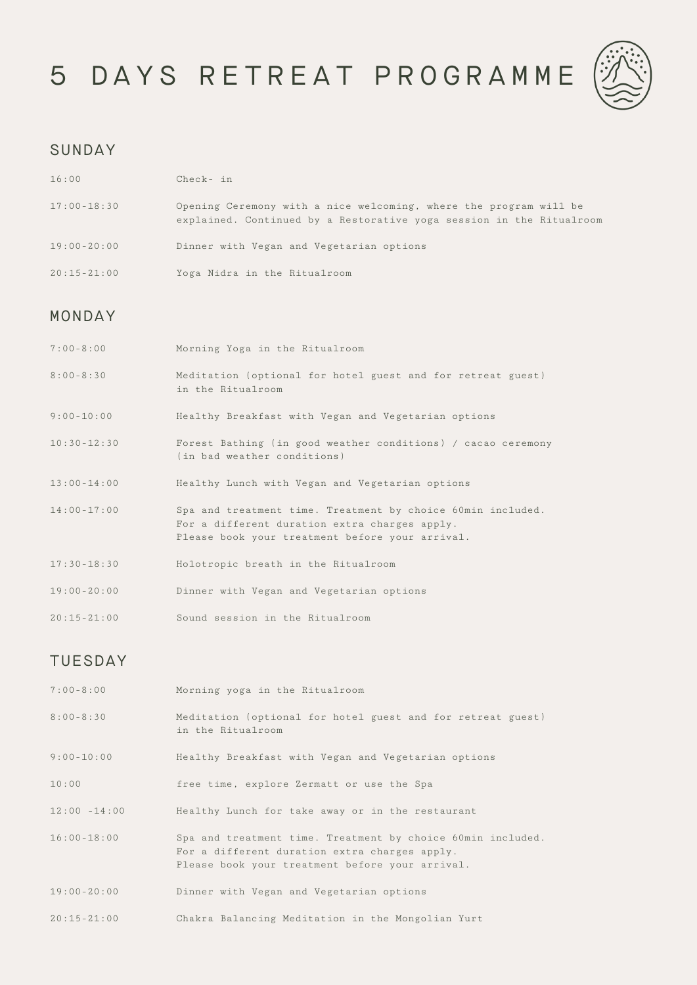# 5 DAYS RETREAT PROGRAMME



#### SUNDAY

| 16:00           | $Check - in$                                                                                                                              |
|-----------------|-------------------------------------------------------------------------------------------------------------------------------------------|
| $17:00 - 18:30$ | Opening Ceremony with a nice welcoming, where the program will be<br>explained. Continued by a Restorative yoga session in the Ritualroom |
| $19:00 - 20:00$ | Dinner with Vegan and Vegetarian options                                                                                                  |
| $20:15 - 21:00$ | Yoga Nidra in the Ritualroom                                                                                                              |

#### MONDAY

| $7:00 - 8:00$   | Morning Yoga in the Ritualroom                                                                                                                                  |
|-----------------|-----------------------------------------------------------------------------------------------------------------------------------------------------------------|
| $8:00 - 8:30$   | Meditation (optional for hotel guest and for retreat guest)<br>in the Ritualroom                                                                                |
| $9:00-10:00$    | Healthy Breakfast with Vegan and Vegetarian options                                                                                                             |
| $10:30 - 12:30$ | Forest Bathing (in good weather conditions) / cacao ceremony<br>(in bad weather conditions)                                                                     |
| $13:00 - 14:00$ | Healthy Lunch with Vegan and Vegetarian options                                                                                                                 |
| $14:00 - 17:00$ | Spa and treatment time. Treatment by choice 60min included.<br>For a different duration extra charges apply.<br>Please book your treatment before your arrival. |
| $17:30 - 18:30$ | Holotropic breath in the Ritualroom                                                                                                                             |
| $19:00 - 20:00$ | Dinner with Vegan and Vegetarian options                                                                                                                        |
| $20:15 - 21:00$ | Sound session in the Ritualroom                                                                                                                                 |

## TUESDAY

| $7:00 - 8:00$   | Morning yoga in the Ritualroom                                                                                                                                  |
|-----------------|-----------------------------------------------------------------------------------------------------------------------------------------------------------------|
| $8:00 - 8:30$   | Meditation (optional for hotel guest and for retreat guest)<br>in the Ritualroom                                                                                |
| $9:00-10:00$    | Healthy Breakfast with Vegan and Vegetarian options                                                                                                             |
| 10:00           | free time, explore Zermatt or use the Spa                                                                                                                       |
| $12:00 - 14:00$ | Healthy Lunch for take away or in the restaurant                                                                                                                |
| $16:00 - 18:00$ | Spa and treatment time. Treatment by choice 60min included.<br>For a different duration extra charges apply.<br>Please book your treatment before your arrival. |
| $19:00 - 20:00$ | Dinner with Vegan and Vegetarian options                                                                                                                        |
| $20:15 - 21:00$ | Chakra Balancing Meditation in the Mongolian Yurt                                                                                                               |